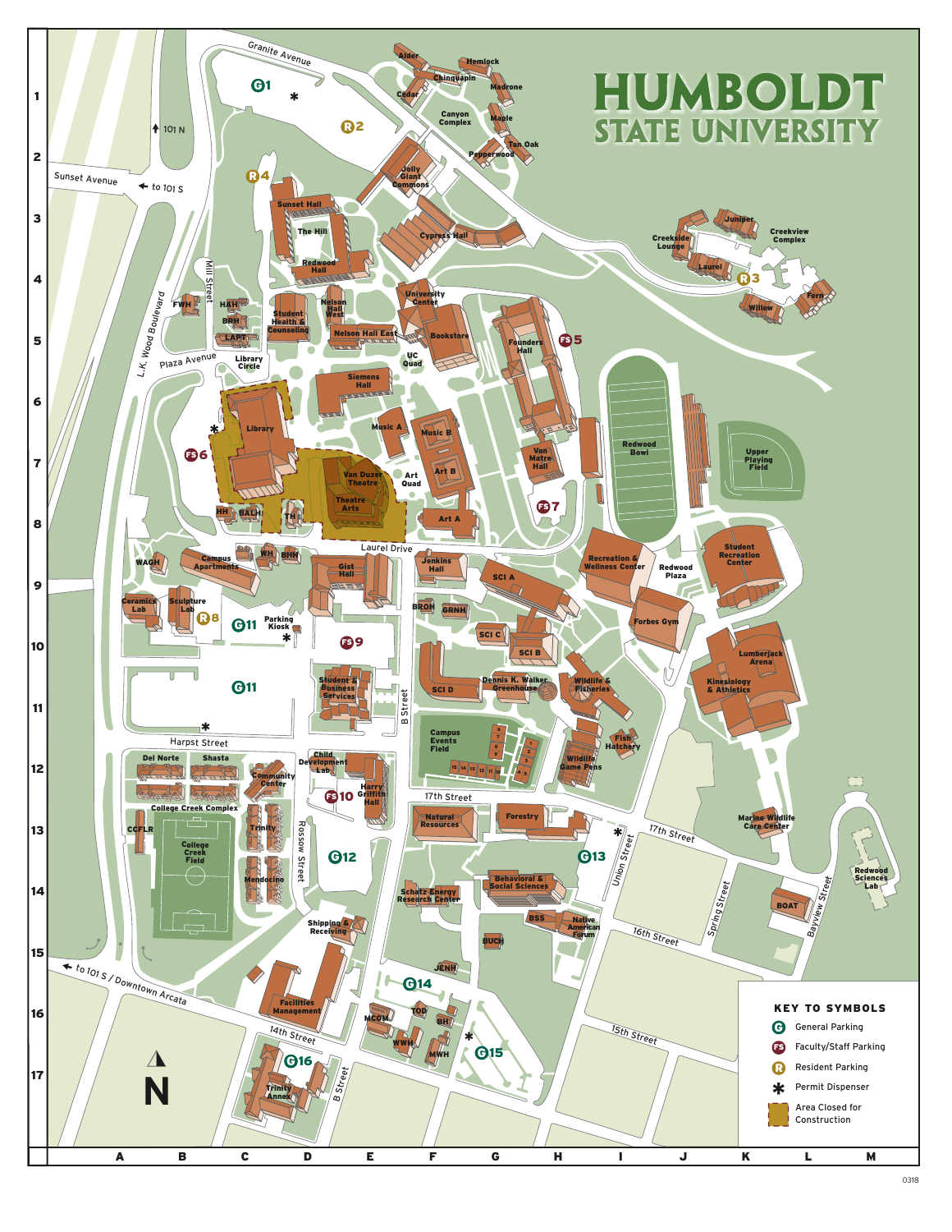